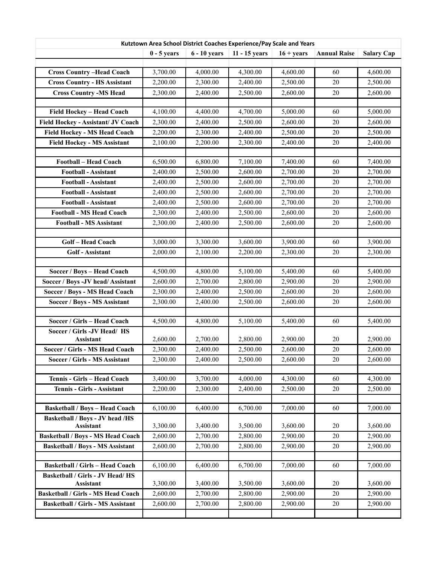| Kutztown Area School District Coaches Experience/Pay Scale and Years |               |                |               |              |                     |                   |  |  |  |  |
|----------------------------------------------------------------------|---------------|----------------|---------------|--------------|---------------------|-------------------|--|--|--|--|
|                                                                      | $0 - 5$ years | $6 - 10$ years | 11 - 15 years | $16 + years$ | <b>Annual Raise</b> | <b>Salary Cap</b> |  |  |  |  |
|                                                                      |               |                |               |              |                     |                   |  |  |  |  |
| <b>Cross Country-Head Coach</b>                                      | 3,700.00      | 4,000.00       | 4,300.00      | 4,600.00     | 60                  | 4,600.00          |  |  |  |  |
| <b>Cross Country - HS Assistant</b>                                  | 2,200.00      | 2,300.00       | 2,400.00      | 2,500.00     | 20                  | 2,500.00          |  |  |  |  |
| <b>Cross Country -MS Head</b>                                        | 2,300.00      | 2,400.00       | 2,500.00      | 2,600.00     | 20                  | 2,600.00          |  |  |  |  |
|                                                                      |               |                |               |              |                     |                   |  |  |  |  |
| Field Hockey - Head Coach                                            | 4,100.00      | 4,400.00       | 4,700.00      | 5,000.00     | 60                  | 5,000.00          |  |  |  |  |
| Field Hockey - Assistant/ JV Coach                                   | 2,300.00      | 2,400.00       | 2,500.00      | 2,600.00     | 20                  | 2,600.00          |  |  |  |  |
| <b>Field Hockey - MS Head Coach</b>                                  | 2,200.00      | 2,300.00       | 2,400.00      | 2,500.00     | $20\,$              | 2,500.00          |  |  |  |  |
| <b>Field Hockey - MS Assistant</b>                                   | 2,100.00      | 2,200.00       | 2,300.00      | 2,400.00     | 20                  | 2,400.00          |  |  |  |  |
|                                                                      |               |                |               |              |                     |                   |  |  |  |  |
| <b>Football - Head Coach</b>                                         | 6,500.00      | 6,800.00       | 7,100.00      | 7,400.00     | 60                  | 7,400.00          |  |  |  |  |
| <b>Football - Assistant</b>                                          | 2,400.00      | 2,500.00       | 2,600.00      | 2,700.00     | $20\,$              | 2,700.00          |  |  |  |  |
| <b>Football - Assistant</b>                                          | 2,400.00      | 2,500.00       | 2,600.00      | 2,700.00     | 20                  | 2,700.00          |  |  |  |  |
| <b>Football - Assistant</b>                                          | 2,400.00      | 2,500.00       | 2,600.00      | 2,700.00     | $20\,$              | 2,700.00          |  |  |  |  |
| <b>Football - Assistant</b>                                          | 2,400.00      | 2,500.00       | 2,600.00      | 2,700.00     | 20                  | 2,700.00          |  |  |  |  |
| <b>Football - MS Head Coach</b>                                      | 2,300.00      | 2,400.00       | 2,500.00      | 2,600.00     | 20                  | 2,600.00          |  |  |  |  |
| <b>Football - MS Assistant</b>                                       | 2,300.00      | 2,400.00       | 2,500.00      | 2,600.00     | 20                  | 2,600.00          |  |  |  |  |
|                                                                      |               |                |               |              |                     |                   |  |  |  |  |
| Golf-Head Coach                                                      | 3,000.00      | 3,300.00       | 3,600.00      | 3,900.00     | 60                  | 3,900.00          |  |  |  |  |
| Golf - Assistant                                                     | 2,000.00      | 2,100.00       | 2,200.00      | 2,300.00     | $20\,$              | 2,300.00          |  |  |  |  |
|                                                                      |               |                |               |              |                     |                   |  |  |  |  |
| Soccer / Boys - Head Coach                                           | 4,500.00      | 4,800.00       | 5,100.00      | 5,400.00     | 60                  | 5,400.00          |  |  |  |  |
| Soccer / Boys - JV head/ Assistant                                   | 2,600.00      | 2,700.00       | 2,800.00      | 2,900.00     | 20                  | 2,900.00          |  |  |  |  |
| Soccer / Boys - MS Head Coach                                        | 2,300.00      | 2,400.00       | 2,500.00      | 2,600.00     | $20\,$              | 2,600.00          |  |  |  |  |
| Soccer / Boys - MS Assistant                                         | 2,300.00      | 2,400.00       | 2,500.00      | 2,600.00     | 20                  | 2,600.00          |  |  |  |  |
|                                                                      |               |                |               |              |                     |                   |  |  |  |  |
| Soccer / Girls - Head Coach                                          | 4,500.00      | 4,800.00       | 5,100.00      | 5,400.00     | 60                  | 5,400.00          |  |  |  |  |
| Soccer / Girls -JV Head/ HS<br><b>Assistant</b>                      | 2,600.00      | 2,700.00       | 2,800.00      | 2,900.00     | 20                  | 2,900.00          |  |  |  |  |
| Soccer / Girls - MS Head Coach                                       | 2,300.00      | 2,400.00       | 2,500.00      | 2,600.00     | 20                  | 2,600.00          |  |  |  |  |
| Soccer / Girls - MS Assistant                                        | 2,300.00      | 2,400.00       | 2,500.00      | 2,600.00     | 20                  | 2,600.00          |  |  |  |  |
|                                                                      |               |                |               |              |                     |                   |  |  |  |  |
| Tennis - Girls - Head Coach                                          | 3,400.00      | 3,700.00       | 4,000.00      | 4,300.00     | 60                  | 4,300.00          |  |  |  |  |
| Tennis - Girls - Assistant                                           | 2,200.00      | 2,300.00       | 2,400.00      | 2,500.00     | $20\,$              | 2,500.00          |  |  |  |  |
|                                                                      |               |                |               |              |                     |                   |  |  |  |  |
| <b>Basketball / Boys - Head Coach</b>                                | 6,100.00      | 6,400.00       | 6,700.00      | 7,000.00     | 60                  | 7,000.00          |  |  |  |  |
| Basketball / Boys - JV head /HS<br>Assistant                         | 3,300.00      | 3,400.00       | 3,500.00      | 3,600.00     | 20                  | 3,600.00          |  |  |  |  |
| <b>Basketball / Boys - MS Head Coach</b>                             | 2,600.00      | 2,700.00       | 2,800.00      | 2,900.00     | 20                  | 2,900.00          |  |  |  |  |
| <b>Basketball / Boys - MS Assistant</b>                              | 2,600.00      | 2,700.00       | 2,800.00      | 2,900.00     | 20                  | 2,900.00          |  |  |  |  |
|                                                                      |               |                |               |              |                     |                   |  |  |  |  |
| <b>Basketball / Girls - Head Coach</b>                               | 6,100.00      | 6,400.00       | 6,700.00      | 7,000.00     | 60                  | 7,000.00          |  |  |  |  |
| Basketball / Girls - JV Head/HS                                      |               |                |               |              |                     |                   |  |  |  |  |
| <b>Assistant</b>                                                     | 3,300.00      | 3,400.00       | 3,500.00      | 3,600.00     | 20                  | 3,600.00          |  |  |  |  |
| <b>Basketball / Girls - MS Head Coach</b>                            | 2,600.00      | 2,700.00       | 2,800.00      | 2,900.00     | 20                  | 2,900.00          |  |  |  |  |
| <b>Basketball / Girls - MS Assistant</b>                             | 2,600.00      | 2,700.00       | 2,800.00      | 2,900.00     | 20                  | 2,900.00          |  |  |  |  |
|                                                                      |               |                |               |              |                     |                   |  |  |  |  |